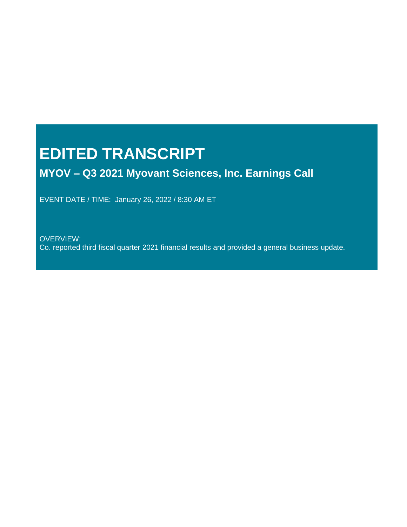# **EDITED TRANSCRIPT**

# **MYOV – Q3 2021 Myovant Sciences, Inc. Earnings Call**

EVENT DATE / TIME: January 26, 2022 / 8:30 AM ET

OVERVIEW: Co. reported third fiscal quarter 2021 financial results and provided a general business update.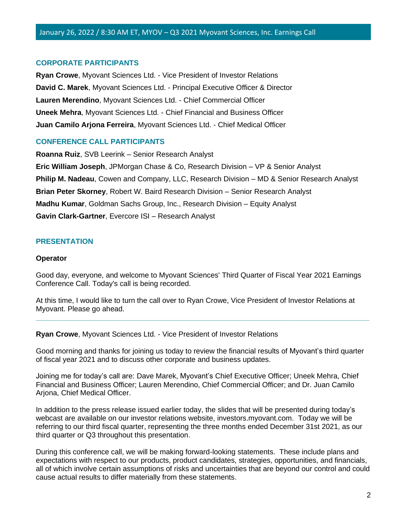#### **CORPORATE PARTICIPANTS**

**Ryan Crowe**, Myovant Sciences Ltd. - Vice President of Investor Relations **David C. Marek**, Myovant Sciences Ltd. - Principal Executive Officer & Director **Lauren Merendino**, Myovant Sciences Ltd. - Chief Commercial Officer **Uneek Mehra**, Myovant Sciences Ltd. - Chief Financial and Business Officer **Juan Camilo Arjona Ferreira**, Myovant Sciences Ltd. - Chief Medical Officer

#### **CONFERENCE CALL PARTICIPANTS**

**Roanna Ruiz**, SVB Leerink – Senior Research Analyst **Eric William Joseph**, JPMorgan Chase & Co, Research Division – VP & Senior Analyst **Philip M. Nadeau**, Cowen and Company, LLC, Research Division – MD & Senior Research Analyst **Brian Peter Skorney**, Robert W. Baird Research Division – Senior Research Analyst **Madhu Kumar**, Goldman Sachs Group, Inc., Research Division – Equity Analyst **Gavin Clark-Gartner**, Evercore ISI – Research Analyst

#### **PRESENTATION**

#### **Operator**

Good day, everyone, and welcome to Myovant Sciences' Third Quarter of Fiscal Year 2021 Earnings Conference Call. Today's call is being recorded.

At this time, I would like to turn the call over to Ryan Crowe, Vice President of Investor Relations at Myovant. Please go ahead.

**\_\_\_\_\_\_\_\_\_\_\_\_\_\_\_\_\_\_\_\_\_\_\_\_\_\_\_\_\_\_\_\_\_\_\_\_\_\_\_\_\_\_\_\_\_\_\_\_\_\_\_\_\_\_\_\_\_\_\_\_\_\_\_\_\_\_\_\_\_\_\_\_\_\_\_\_\_\_\_\_\_\_**

**Ryan Crowe**, Myovant Sciences Ltd. - Vice President of Investor Relations

Good morning and thanks for joining us today to review the financial results of Myovant's third quarter of fiscal year 2021 and to discuss other corporate and business updates.

Joining me for today's call are: Dave Marek, Myovant's Chief Executive Officer; Uneek Mehra, Chief Financial and Business Officer; Lauren Merendino, Chief Commercial Officer; and Dr. Juan Camilo Arjona, Chief Medical Officer.

In addition to the press release issued earlier today, the slides that will be presented during today's webcast are available on our investor relations website, investors.myovant.com. Today we will be referring to our third fiscal quarter, representing the three months ended December 31st 2021, as our third quarter or Q3 throughout this presentation.

During this conference call, we will be making forward-looking statements. These include plans and expectations with respect to our products, product candidates, strategies, opportunities, and financials, all of which involve certain assumptions of risks and uncertainties that are beyond our control and could cause actual results to differ materially from these statements.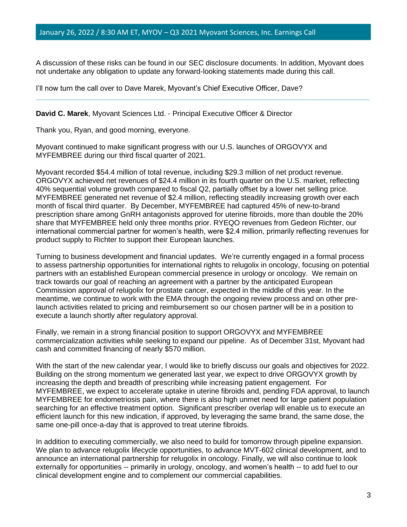A discussion of these risks can be found in our SEC disclosure documents. In addition, Myovant does not undertake any obligation to update any forward-looking statements made during this call.

**\_\_\_\_\_\_\_\_\_\_\_\_\_\_\_\_\_\_\_\_\_\_\_\_\_\_\_\_\_\_\_\_\_\_\_\_\_\_\_\_\_\_\_\_\_\_\_\_\_\_\_\_\_\_\_\_\_\_\_\_\_\_\_\_\_\_\_\_\_\_\_\_\_\_\_\_\_\_\_\_\_\_**

I'll now turn the call over to Dave Marek, Myovant's Chief Executive Officer, Dave?

**David C. Marek**, Myovant Sciences Ltd. - Principal Executive Officer & Director

Thank you, Ryan, and good morning, everyone.

Myovant continued to make significant progress with our U.S. launches of ORGOVYX and MYFEMBREE during our third fiscal quarter of 2021.

Myovant recorded \$54.4 million of total revenue, including \$29.3 million of net product revenue. ORGOVYX achieved net revenues of \$24.4 million in its fourth quarter on the U.S. market, reflecting 40% sequential volume growth compared to fiscal Q2, partially offset by a lower net selling price. MYFEMBREE generated net revenue of \$2.4 million, reflecting steadily increasing growth over each month of fiscal third quarter. By December, MYFEMBREE had captured 45% of new-to-brand prescription share among GnRH antagonists approved for uterine fibroids, more than double the 20% share that MYFEMBREE held only three months prior. RYEQO revenues from Gedeon Richter, our international commercial partner for women's health, were \$2.4 million, primarily reflecting revenues for product supply to Richter to support their European launches.

Turning to business development and financial updates. We're currently engaged in a formal process to assess partnership opportunities for international rights to relugolix in oncology, focusing on potential partners with an established European commercial presence in urology or oncology. We remain on track towards our goal of reaching an agreement with a partner by the anticipated European Commission approval of relugolix for prostate cancer, expected in the middle of this year. In the meantime, we continue to work with the EMA through the ongoing review process and on other prelaunch activities related to pricing and reimbursement so our chosen partner will be in a position to execute a launch shortly after regulatory approval.

Finally, we remain in a strong financial position to support ORGOVYX and MYFEMBREE commercialization activities while seeking to expand our pipeline. As of December 31st, Myovant had cash and committed financing of nearly \$570 million.

With the start of the new calendar year, I would like to briefly discuss our goals and objectives for 2022. Building on the strong momentum we generated last year, we expect to drive ORGOVYX growth by increasing the depth and breadth of prescribing while increasing patient engagement. For MYFEMBREE, we expect to accelerate uptake in uterine fibroids and, pending FDA approval, to launch MYFEMBREE for endometriosis pain, where there is also high unmet need for large patient population searching for an effective treatment option. Significant prescriber overlap will enable us to execute an efficient launch for this new indication, if approved, by leveraging the same brand, the same dose, the same one-pill once-a-day that is approved to treat uterine fibroids.

In addition to executing commercially, we also need to build for tomorrow through pipeline expansion. We plan to advance relugolix lifecycle opportunities, to advance MVT-602 clinical development, and to announce an international partnership for relugolix in oncology. Finally, we will also continue to look externally for opportunities -- primarily in urology, oncology, and women's health -- to add fuel to our clinical development engine and to complement our commercial capabilities.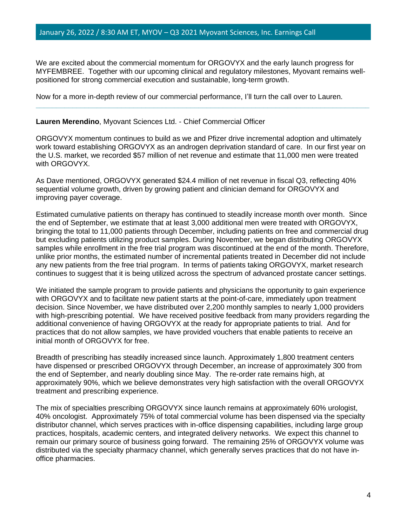We are excited about the commercial momentum for ORGOVYX and the early launch progress for MYFEMBREE. Together with our upcoming clinical and regulatory milestones, Myovant remains wellpositioned for strong commercial execution and sustainable, long-term growth.

**\_\_\_\_\_\_\_\_\_\_\_\_\_\_\_\_\_\_\_\_\_\_\_\_\_\_\_\_\_\_\_\_\_\_\_\_\_\_\_\_\_\_\_\_\_\_\_\_\_\_\_\_\_\_\_\_\_\_\_\_\_\_\_\_\_\_\_\_\_\_\_\_\_\_\_\_\_\_\_\_\_\_**

Now for a more in-depth review of our commercial performance, I'll turn the call over to Lauren.

#### **Lauren Merendino**, Myovant Sciences Ltd. - Chief Commercial Officer

ORGOVYX momentum continues to build as we and Pfizer drive incremental adoption and ultimately work toward establishing ORGOVYX as an androgen deprivation standard of care. In our first year on the U.S. market, we recorded \$57 million of net revenue and estimate that 11,000 men were treated with ORGOVYX.

As Dave mentioned, ORGOVYX generated \$24.4 million of net revenue in fiscal Q3, reflecting 40% sequential volume growth, driven by growing patient and clinician demand for ORGOVYX and improving payer coverage.

Estimated cumulative patients on therapy has continued to steadily increase month over month. Since the end of September, we estimate that at least 3,000 additional men were treated with ORGOVYX, bringing the total to 11,000 patients through December, including patients on free and commercial drug but excluding patients utilizing product samples. During November, we began distributing ORGOVYX samples while enrollment in the free trial program was discontinued at the end of the month. Therefore, unlike prior months, the estimated number of incremental patients treated in December did not include any new patients from the free trial program. In terms of patients taking ORGOVYX, market research continues to suggest that it is being utilized across the spectrum of advanced prostate cancer settings.

We initiated the sample program to provide patients and physicians the opportunity to gain experience with ORGOVYX and to facilitate new patient starts at the point-of-care, immediately upon treatment decision. Since November, we have distributed over 2,200 monthly samples to nearly 1,000 providers with high-prescribing potential. We have received positive feedback from many providers regarding the additional convenience of having ORGOVYX at the ready for appropriate patients to trial. And for practices that do not allow samples, we have provided vouchers that enable patients to receive an initial month of ORGOVYX for free.

Breadth of prescribing has steadily increased since launch. Approximately 1,800 treatment centers have dispensed or prescribed ORGOVYX through December, an increase of approximately 300 from the end of September, and nearly doubling since May. The re-order rate remains high, at approximately 90%, which we believe demonstrates very high satisfaction with the overall ORGOVYX treatment and prescribing experience.

The mix of specialties prescribing ORGOVYX since launch remains at approximately 60% urologist, 40% oncologist. Approximately 75% of total commercial volume has been dispensed via the specialty distributor channel, which serves practices with in-office dispensing capabilities, including large group practices, hospitals, academic centers, and integrated delivery networks. We expect this channel to remain our primary source of business going forward. The remaining 25% of ORGOVYX volume was distributed via the specialty pharmacy channel, which generally serves practices that do not have inoffice pharmacies.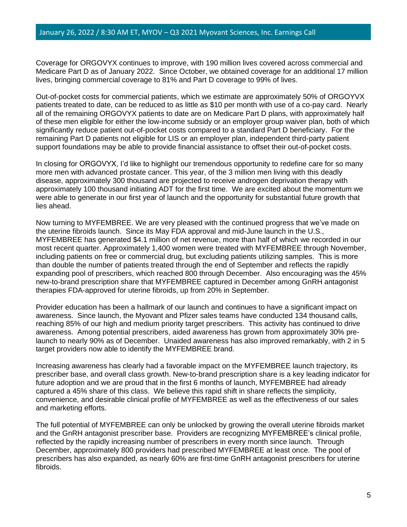Coverage for ORGOVYX continues to improve, with 190 million lives covered across commercial and Medicare Part D as of January 2022. Since October, we obtained coverage for an additional 17 million lives, bringing commercial coverage to 81% and Part D coverage to 99% of lives.

Out-of-pocket costs for commercial patients, which we estimate are approximately 50% of ORGOYVX patients treated to date, can be reduced to as little as \$10 per month with use of a co-pay card. Nearly all of the remaining ORGOVYX patients to date are on Medicare Part D plans, with approximately half of these men eligible for either the low-income subsidy or an employer group waiver plan, both of which significantly reduce patient out-of-pocket costs compared to a standard Part D beneficiary. For the remaining Part D patients not eligible for LIS or an employer plan, independent third-party patient support foundations may be able to provide financial assistance to offset their out-of-pocket costs.

In closing for ORGOVYX, I'd like to highlight our tremendous opportunity to redefine care for so many more men with advanced prostate cancer. This year, of the 3 million men living with this deadly disease, approximately 300 thousand are projected to receive androgen deprivation therapy with approximately 100 thousand initiating ADT for the first time. We are excited about the momentum we were able to generate in our first year of launch and the opportunity for substantial future growth that lies ahead.

Now turning to MYFEMBREE. We are very pleased with the continued progress that we've made on the uterine fibroids launch. Since its May FDA approval and mid-June launch in the U.S., MYFEMBREE has generated \$4.1 million of net revenue, more than half of which we recorded in our most recent quarter. Approximately 1,400 women were treated with MYFEMBREE through November, including patients on free or commercial drug, but excluding patients utilizing samples. This is more than double the number of patients treated through the end of September and reflects the rapidly expanding pool of prescribers, which reached 800 through December. Also encouraging was the 45% new-to-brand prescription share that MYFEMBREE captured in December among GnRH antagonist therapies FDA-approved for uterine fibroids, up from 20% in September.

Provider education has been a hallmark of our launch and continues to have a significant impact on awareness. Since launch, the Myovant and Pfizer sales teams have conducted 134 thousand calls, reaching 85% of our high and medium priority target prescribers. This activity has continued to drive awareness. Among potential prescribers, aided awareness has grown from approximately 30% prelaunch to nearly 90% as of December. Unaided awareness has also improved remarkably, with 2 in 5 target providers now able to identify the MYFEMBREE brand.

Increasing awareness has clearly had a favorable impact on the MYFEMBREE launch trajectory, its prescriber base, and overall class growth. New-to-brand prescription share is a key leading indicator for future adoption and we are proud that in the first 6 months of launch, MYFEMBREE had already captured a 45% share of this class. We believe this rapid shift in share reflects the simplicity, convenience, and desirable clinical profile of MYFEMBREE as well as the effectiveness of our sales and marketing efforts.

The full potential of MYFEMBREE can only be unlocked by growing the overall uterine fibroids market and the GnRH antagonist prescriber base. Providers are recognizing MYFEMBREE's clinical profile, reflected by the rapidly increasing number of prescribers in every month since launch. Through December, approximately 800 providers had prescribed MYFEMBREE at least once. The pool of prescribers has also expanded, as nearly 60% are first-time GnRH antagonist prescribers for uterine fibroids.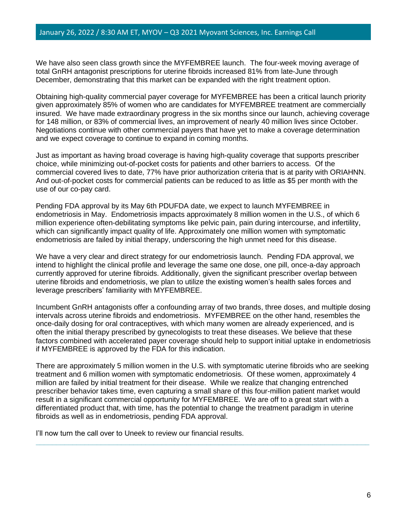We have also seen class growth since the MYFEMBREE launch. The four-week moving average of total GnRH antagonist prescriptions for uterine fibroids increased 81% from late-June through December, demonstrating that this market can be expanded with the right treatment option.

Obtaining high-quality commercial payer coverage for MYFEMBREE has been a critical launch priority given approximately 85% of women who are candidates for MYFEMBREE treatment are commercially insured. We have made extraordinary progress in the six months since our launch, achieving coverage for 148 million, or 83% of commercial lives, an improvement of nearly 40 million lives since October. Negotiations continue with other commercial payers that have yet to make a coverage determination and we expect coverage to continue to expand in coming months.

Just as important as having broad coverage is having high-quality coverage that supports prescriber choice, while minimizing out-of-pocket costs for patients and other barriers to access. Of the commercial covered lives to date, 77% have prior authorization criteria that is at parity with ORIAHNN. And out-of-pocket costs for commercial patients can be reduced to as little as \$5 per month with the use of our co-pay card.

Pending FDA approval by its May 6th PDUFDA date, we expect to launch MYFEMBREE in endometriosis in May. Endometriosis impacts approximately 8 million women in the U.S., of which 6 million experience often-debilitating symptoms like pelvic pain, pain during intercourse, and infertility, which can significantly impact quality of life. Approximately one million women with symptomatic endometriosis are failed by initial therapy, underscoring the high unmet need for this disease.

We have a very clear and direct strategy for our endometriosis launch. Pending FDA approval, we intend to highlight the clinical profile and leverage the same one dose, one pill, once-a-day approach currently approved for uterine fibroids. Additionally, given the significant prescriber overlap between uterine fibroids and endometriosis, we plan to utilize the existing women's health sales forces and leverage prescribers' familiarity with MYFEMBREE.

Incumbent GnRH antagonists offer a confounding array of two brands, three doses, and multiple dosing intervals across uterine fibroids and endometriosis. MYFEMBREE on the other hand, resembles the once-daily dosing for oral contraceptives, with which many women are already experienced, and is often the initial therapy prescribed by gynecologists to treat these diseases. We believe that these factors combined with accelerated payer coverage should help to support initial uptake in endometriosis if MYFEMBREE is approved by the FDA for this indication.

There are approximately 5 million women in the U.S. with symptomatic uterine fibroids who are seeking treatment and 6 million women with symptomatic endometriosis. Of these women, approximately 4 million are failed by initial treatment for their disease. While we realize that changing entrenched prescriber behavior takes time, even capturing a small share of this four-million patient market would result in a significant commercial opportunity for MYFEMBREE. We are off to a great start with a differentiated product that, with time, has the potential to change the treatment paradigm in uterine fibroids as well as in endometriosis, pending FDA approval.

**\_\_\_\_\_\_\_\_\_\_\_\_\_\_\_\_\_\_\_\_\_\_\_\_\_\_\_\_\_\_\_\_\_\_\_\_\_\_\_\_\_\_\_\_\_\_\_\_\_\_\_\_\_\_\_\_\_\_\_\_\_\_\_\_\_\_\_\_\_\_\_\_\_\_\_\_\_\_\_\_\_\_**

I'll now turn the call over to Uneek to review our financial results.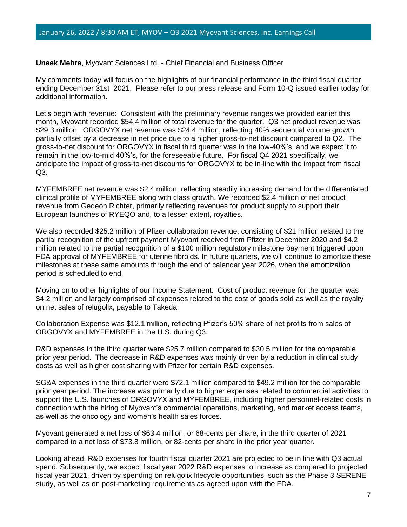**Uneek Mehra**, Myovant Sciences Ltd. - Chief Financial and Business Officer

My comments today will focus on the highlights of our financial performance in the third fiscal quarter ending December 31st 2021. Please refer to our press release and Form 10-Q issued earlier today for additional information.

Let's begin with revenue: Consistent with the preliminary revenue ranges we provided earlier this month, Myovant recorded \$54.4 million of total revenue for the quarter. Q3 net product revenue was \$29.3 million. ORGOVYX net revenue was \$24.4 million, reflecting 40% sequential volume growth, partially offset by a decrease in net price due to a higher gross-to-net discount compared to Q2. The gross-to-net discount for ORGOVYX in fiscal third quarter was in the low-40%'s, and we expect it to remain in the low-to-mid 40%'s, for the foreseeable future. For fiscal Q4 2021 specifically, we anticipate the impact of gross-to-net discounts for ORGOVYX to be in-line with the impact from fiscal Q3.

MYFEMBREE net revenue was \$2.4 million, reflecting steadily increasing demand for the differentiated clinical profile of MYFEMBREE along with class growth. We recorded \$2.4 million of net product revenue from Gedeon Richter, primarily reflecting revenues for product supply to support their European launches of RYEQO and, to a lesser extent, royalties.

We also recorded \$25.2 million of Pfizer collaboration revenue, consisting of \$21 million related to the partial recognition of the upfront payment Myovant received from Pfizer in December 2020 and \$4.2 million related to the partial recognition of a \$100 million regulatory milestone payment triggered upon FDA approval of MYFEMBREE for uterine fibroids. In future quarters, we will continue to amortize these milestones at these same amounts through the end of calendar year 2026, when the amortization period is scheduled to end.

Moving on to other highlights of our Income Statement: Cost of product revenue for the quarter was \$4.2 million and largely comprised of expenses related to the cost of goods sold as well as the royalty on net sales of relugolix, payable to Takeda.

Collaboration Expense was \$12.1 million, reflecting Pfizer's 50% share of net profits from sales of ORGOVYX and MYFEMBREE in the U.S. during Q3.

R&D expenses in the third quarter were \$25.7 million compared to \$30.5 million for the comparable prior year period. The decrease in R&D expenses was mainly driven by a reduction in clinical study costs as well as higher cost sharing with Pfizer for certain R&D expenses.

SG&A expenses in the third quarter were \$72.1 million compared to \$49.2 million for the comparable prior year period. The increase was primarily due to higher expenses related to commercial activities to support the U.S. launches of ORGOVYX and MYFEMBREE, including higher personnel-related costs in connection with the hiring of Myovant's commercial operations, marketing, and market access teams, as well as the oncology and women's health sales forces.

Myovant generated a net loss of \$63.4 million, or 68-cents per share, in the third quarter of 2021 compared to a net loss of \$73.8 million, or 82-cents per share in the prior year quarter.

Looking ahead, R&D expenses for fourth fiscal quarter 2021 are projected to be in line with Q3 actual spend. Subsequently, we expect fiscal year 2022 R&D expenses to increase as compared to projected fiscal year 2021, driven by spending on relugolix lifecycle opportunities, such as the Phase 3 SERENE study, as well as on post-marketing requirements as agreed upon with the FDA.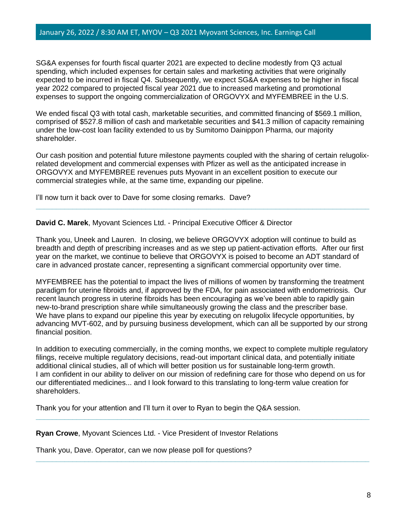SG&A expenses for fourth fiscal quarter 2021 are expected to decline modestly from Q3 actual spending, which included expenses for certain sales and marketing activities that were originally expected to be incurred in fiscal Q4. Subsequently, we expect SG&A expenses to be higher in fiscal year 2022 compared to projected fiscal year 2021 due to increased marketing and promotional expenses to support the ongoing commercialization of ORGOVYX and MYFEMBREE in the U.S.

We ended fiscal Q3 with total cash, marketable securities, and committed financing of \$569.1 million, comprised of \$527.8 million of cash and marketable securities and \$41.3 million of capacity remaining under the low-cost loan facility extended to us by Sumitomo Dainippon Pharma, our majority shareholder.

Our cash position and potential future milestone payments coupled with the sharing of certain relugolixrelated development and commercial expenses with Pfizer as well as the anticipated increase in ORGOVYX and MYFEMBREE revenues puts Myovant in an excellent position to execute our commercial strategies while, at the same time, expanding our pipeline.

**\_\_\_\_\_\_\_\_\_\_\_\_\_\_\_\_\_\_\_\_\_\_\_\_\_\_\_\_\_\_\_\_\_\_\_\_\_\_\_\_\_\_\_\_\_\_\_\_\_\_\_\_\_\_\_\_\_\_\_\_\_\_\_\_\_\_\_\_\_\_\_\_\_\_\_\_\_\_\_\_\_\_**

I'll now turn it back over to Dave for some closing remarks. Dave?

**David C. Marek**, Myovant Sciences Ltd. - Principal Executive Officer & Director

Thank you, Uneek and Lauren. In closing, we believe ORGOVYX adoption will continue to build as breadth and depth of prescribing increases and as we step up patient-activation efforts. After our first year on the market, we continue to believe that ORGOVYX is poised to become an ADT standard of care in advanced prostate cancer, representing a significant commercial opportunity over time.

MYFEMBREE has the potential to impact the lives of millions of women by transforming the treatment paradigm for uterine fibroids and, if approved by the FDA, for pain associated with endometriosis. Our recent launch progress in uterine fibroids has been encouraging as we've been able to rapidly gain new-to-brand prescription share while simultaneously growing the class and the prescriber base. We have plans to expand our pipeline this year by executing on relugolix lifecycle opportunities, by advancing MVT-602, and by pursuing business development, which can all be supported by our strong financial position.

In addition to executing commercially, in the coming months, we expect to complete multiple regulatory filings, receive multiple regulatory decisions, read-out important clinical data, and potentially initiate additional clinical studies, all of which will better position us for sustainable long-term growth. I am confident in our ability to deliver on our mission of redefining care for those who depend on us for our differentiated medicines... and I look forward to this translating to long-term value creation for shareholders.

**\_\_\_\_\_\_\_\_\_\_\_\_\_\_\_\_\_\_\_\_\_\_\_\_\_\_\_\_\_\_\_\_\_\_\_\_\_\_\_\_\_\_\_\_\_\_\_\_\_\_\_\_\_\_\_\_\_\_\_\_\_\_\_\_\_\_\_\_\_\_\_\_\_\_\_\_\_\_\_\_\_\_**

**\_\_\_\_\_\_\_\_\_\_\_\_\_\_\_\_\_\_\_\_\_\_\_\_\_\_\_\_\_\_\_\_\_\_\_\_\_\_\_\_\_\_\_\_\_\_\_\_\_\_\_\_\_\_\_\_\_\_\_\_\_\_\_\_\_\_\_\_\_\_\_\_\_\_\_\_\_\_\_\_\_\_**

Thank you for your attention and I'll turn it over to Ryan to begin the Q&A session.

**Ryan Crowe**, Myovant Sciences Ltd. - Vice President of Investor Relations

Thank you, Dave. Operator, can we now please poll for questions?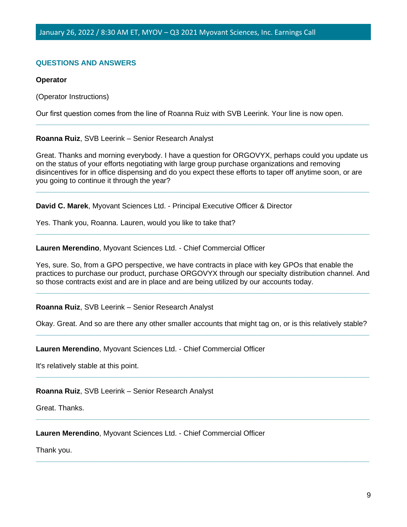# **QUESTIONS AND ANSWERS**

#### **Operator**

(Operator Instructions)

Our first question comes from the line of Roanna Ruiz with SVB Leerink. Your line is now open.

#### **Roanna Ruiz**, SVB Leerink – Senior Research Analyst

Great. Thanks and morning everybody. I have a question for ORGOVYX, perhaps could you update us on the status of your efforts negotiating with large group purchase organizations and removing disincentives for in office dispensing and do you expect these efforts to taper off anytime soon, or are you going to continue it through the year?

**\_\_\_\_\_\_\_\_\_\_\_\_\_\_\_\_\_\_\_\_\_\_\_\_\_\_\_\_\_\_\_\_\_\_\_\_\_\_\_\_\_\_\_\_\_\_\_\_\_\_\_\_\_\_\_\_\_\_\_\_\_\_\_\_\_\_\_\_\_\_\_\_\_\_\_\_\_\_\_\_\_\_**

**\_\_\_\_\_\_\_\_\_\_\_\_\_\_\_\_\_\_\_\_\_\_\_\_\_\_\_\_\_\_\_\_\_\_\_\_\_\_\_\_\_\_\_\_\_\_\_\_\_\_\_\_\_\_\_\_\_\_\_\_\_\_\_\_\_\_\_\_\_\_\_\_\_\_\_\_\_\_\_\_\_\_**

**\_\_\_\_\_\_\_\_\_\_\_\_\_\_\_\_\_\_\_\_\_\_\_\_\_\_\_\_\_\_\_\_\_\_\_\_\_\_\_\_\_\_\_\_\_\_\_\_\_\_\_\_\_\_\_\_\_\_\_\_\_\_\_\_\_\_\_\_\_\_\_\_\_\_\_\_\_\_\_\_\_\_**

**David C. Marek**, Myovant Sciences Ltd. - Principal Executive Officer & Director

Yes. Thank you, Roanna. Lauren, would you like to take that?

**Lauren Merendino**, Myovant Sciences Ltd. - Chief Commercial Officer

Yes, sure. So, from a GPO perspective, we have contracts in place with key GPOs that enable the practices to purchase our product, purchase ORGOVYX through our specialty distribution channel. And so those contracts exist and are in place and are being utilized by our accounts today.

**\_\_\_\_\_\_\_\_\_\_\_\_\_\_\_\_\_\_\_\_\_\_\_\_\_\_\_\_\_\_\_\_\_\_\_\_\_\_\_\_\_\_\_\_\_\_\_\_\_\_\_\_\_\_\_\_\_\_\_\_\_\_\_\_\_\_\_\_\_\_\_\_\_\_\_\_\_\_\_\_\_\_**

**Roanna Ruiz**, SVB Leerink – Senior Research Analyst

Okay. Great. And so are there any other smaller accounts that might tag on, or is this relatively stable? **\_\_\_\_\_\_\_\_\_\_\_\_\_\_\_\_\_\_\_\_\_\_\_\_\_\_\_\_\_\_\_\_\_\_\_\_\_\_\_\_\_\_\_\_\_\_\_\_\_\_\_\_\_\_\_\_\_\_\_\_\_\_\_\_\_\_\_\_\_\_\_\_\_\_\_\_\_\_\_\_\_\_**

**\_\_\_\_\_\_\_\_\_\_\_\_\_\_\_\_\_\_\_\_\_\_\_\_\_\_\_\_\_\_\_\_\_\_\_\_\_\_\_\_\_\_\_\_\_\_\_\_\_\_\_\_\_\_\_\_\_\_\_\_\_\_\_\_\_\_\_\_\_\_\_\_\_\_\_\_\_\_\_\_\_\_**

**\_\_\_\_\_\_\_\_\_\_\_\_\_\_\_\_\_\_\_\_\_\_\_\_\_\_\_\_\_\_\_\_\_\_\_\_\_\_\_\_\_\_\_\_\_\_\_\_\_\_\_\_\_\_\_\_\_\_\_\_\_\_\_\_\_\_\_\_\_\_\_\_\_\_\_\_\_\_\_\_\_\_**

**\_\_\_\_\_\_\_\_\_\_\_\_\_\_\_\_\_\_\_\_\_\_\_\_\_\_\_\_\_\_\_\_\_\_\_\_\_\_\_\_\_\_\_\_\_\_\_\_\_\_\_\_\_\_\_\_\_\_\_\_\_\_\_\_\_\_\_\_\_\_\_\_\_\_\_\_\_\_\_\_\_\_**

**Lauren Merendino**, Myovant Sciences Ltd. - Chief Commercial Officer

It's relatively stable at this point.

**Roanna Ruiz**, SVB Leerink – Senior Research Analyst

Great. Thanks.

**Lauren Merendino**, Myovant Sciences Ltd. - Chief Commercial Officer

Thank you.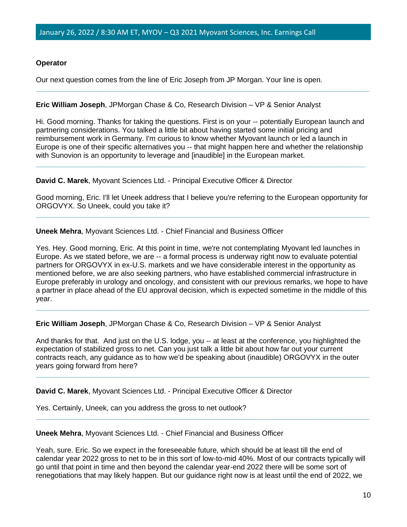# **Operator**

Our next question comes from the line of Eric Joseph from JP Morgan. Your line is open.

## **Eric William Joseph**, JPMorgan Chase & Co, Research Division – VP & Senior Analyst

Hi. Good morning. Thanks for taking the questions. First is on your -- potentially European launch and partnering considerations. You talked a little bit about having started some initial pricing and reimbursement work in Germany. I'm curious to know whether Myovant launch or led a launch in Europe is one of their specific alternatives you -- that might happen here and whether the relationship with Sunovion is an opportunity to leverage and [inaudible] in the European market.

**\_\_\_\_\_\_\_\_\_\_\_\_\_\_\_\_\_\_\_\_\_\_\_\_\_\_\_\_\_\_\_\_\_\_\_\_\_\_\_\_\_\_\_\_\_\_\_\_\_\_\_\_\_\_\_\_\_\_\_\_\_\_\_\_\_\_\_\_\_\_\_\_\_\_\_\_\_\_\_\_\_**

**\_\_\_\_\_\_\_\_\_\_\_\_\_\_\_\_\_\_\_\_\_\_\_\_\_\_\_\_\_\_\_\_\_\_\_\_\_\_\_\_\_\_\_\_\_\_\_\_\_\_\_\_\_\_\_\_\_\_\_\_\_\_\_\_\_\_\_\_\_\_\_\_\_\_\_\_\_\_\_\_\_\_**

# **David C. Marek**, Myovant Sciences Ltd. - Principal Executive Officer & Director

Good morning, Eric. I'll let Uneek address that I believe you're referring to the European opportunity for ORGOVYX. So Uneek, could you take it? **\_\_\_\_\_\_\_\_\_\_\_\_\_\_\_\_\_\_\_\_\_\_\_\_\_\_\_\_\_\_\_\_\_\_\_\_\_\_\_\_\_\_\_\_\_\_\_\_\_\_\_\_\_\_\_\_\_\_\_\_\_\_\_\_\_\_\_\_\_\_\_\_\_\_\_\_\_\_\_\_\_\_**

**Uneek Mehra**, Myovant Sciences Ltd. - Chief Financial and Business Officer

Yes. Hey. Good morning, Eric. At this point in time, we're not contemplating Myovant led launches in Europe. As we stated before, we are -- a formal process is underway right now to evaluate potential partners for ORGOVYX in ex-U.S. markets and we have considerable interest in the opportunity as mentioned before, we are also seeking partners, who have established commercial infrastructure in Europe preferably in urology and oncology, and consistent with our previous remarks, we hope to have a partner in place ahead of the EU approval decision, which is expected sometime in the middle of this year.

**\_\_\_\_\_\_\_\_\_\_\_\_\_\_\_\_\_\_\_\_\_\_\_\_\_\_\_\_\_\_\_\_\_\_\_\_\_\_\_\_\_\_\_\_\_\_\_\_\_\_\_\_\_\_\_\_\_\_\_\_\_\_\_\_\_\_\_\_\_\_\_\_\_\_\_\_\_\_\_\_\_\_**

**Eric William Joseph**, JPMorgan Chase & Co, Research Division – VP & Senior Analyst

And thanks for that. And just on the U.S. lodge, you -- at least at the conference, you highlighted the expectation of stabilized gross to net. Can you just talk a little bit about how far out your current contracts reach, any guidance as to how we'd be speaking about (inaudible) ORGOVYX in the outer years going forward from here?

**\_\_\_\_\_\_\_\_\_\_\_\_\_\_\_\_\_\_\_\_\_\_\_\_\_\_\_\_\_\_\_\_\_\_\_\_\_\_\_\_\_\_\_\_\_\_\_\_\_\_\_\_\_\_\_\_\_\_\_\_\_\_\_\_\_\_\_\_\_\_\_\_\_\_\_\_\_\_\_\_\_\_**

**\_\_\_\_\_\_\_\_\_\_\_\_\_\_\_\_\_\_\_\_\_\_\_\_\_\_\_\_\_\_\_\_\_\_\_\_\_\_\_\_\_\_\_\_\_\_\_\_\_\_\_\_\_\_\_\_\_\_\_\_\_\_\_\_\_\_\_\_\_\_\_\_\_\_\_\_\_\_\_\_\_\_**

**David C. Marek**, Myovant Sciences Ltd. - Principal Executive Officer & Director

Yes. Certainly, Uneek, can you address the gross to net outlook?

**Uneek Mehra**, Myovant Sciences Ltd. - Chief Financial and Business Officer

Yeah, sure. Eric. So we expect in the foreseeable future, which should be at least till the end of calendar year 2022 gross to net to be in this sort of low-to-mid 40%. Most of our contracts typically will go until that point in time and then beyond the calendar year-end 2022 there will be some sort of renegotiations that may likely happen. But our guidance right now is at least until the end of 2022, we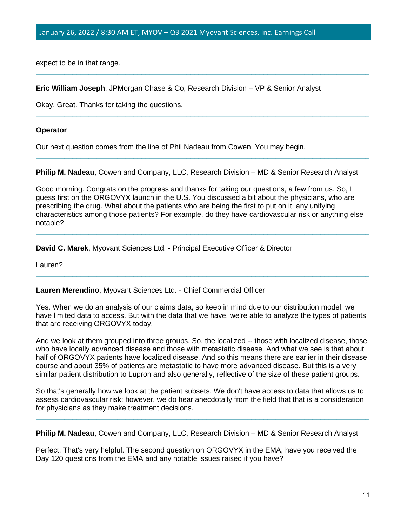expect to be in that range.

**Eric William Joseph**, JPMorgan Chase & Co, Research Division – VP & Senior Analyst

Okay. Great. Thanks for taking the questions.

#### **Operator**

Our next question comes from the line of Phil Nadeau from Cowen. You may begin.

**Philip M. Nadeau**, Cowen and Company, LLC, Research Division – MD & Senior Research Analyst

**\_\_\_\_\_\_\_\_\_\_\_\_\_\_\_\_\_\_\_\_\_\_\_\_\_\_\_\_\_\_\_\_\_\_\_\_\_\_\_\_\_\_\_\_\_\_\_\_\_\_\_\_\_\_\_\_\_\_\_\_\_\_\_\_\_\_\_\_\_\_\_\_\_\_\_\_\_\_\_\_\_\_**

**\_\_\_\_\_\_\_\_\_\_\_\_\_\_\_\_\_\_\_\_\_\_\_\_\_\_\_\_\_\_\_\_\_\_\_\_\_\_\_\_\_\_\_\_\_\_\_\_\_\_\_\_\_\_\_\_\_\_\_\_\_\_\_\_\_\_\_\_\_\_\_\_\_\_\_\_\_\_\_\_\_\_**

**\_\_\_\_\_\_\_\_\_\_\_\_\_\_\_\_\_\_\_\_\_\_\_\_\_\_\_\_\_\_\_\_\_\_\_\_\_\_\_\_\_\_\_\_\_\_\_\_\_\_\_\_\_\_\_\_\_\_\_\_\_\_\_\_\_\_\_\_\_\_\_\_\_\_\_\_\_\_\_\_\_\_**

Good morning. Congrats on the progress and thanks for taking our questions, a few from us. So, I guess first on the ORGOVYX launch in the U.S. You discussed a bit about the physicians, who are prescribing the drug. What about the patients who are being the first to put on it, any unifying characteristics among those patients? For example, do they have cardiovascular risk or anything else notable?

**\_\_\_\_\_\_\_\_\_\_\_\_\_\_\_\_\_\_\_\_\_\_\_\_\_\_\_\_\_\_\_\_\_\_\_\_\_\_\_\_\_\_\_\_\_\_\_\_\_\_\_\_\_\_\_\_\_\_\_\_\_\_\_\_\_\_\_\_\_\_\_\_\_\_\_\_\_\_\_\_\_\_**

**\_\_\_\_\_\_\_\_\_\_\_\_\_\_\_\_\_\_\_\_\_\_\_\_\_\_\_\_\_\_\_\_\_\_\_\_\_\_\_\_\_\_\_\_\_\_\_\_\_\_\_\_\_\_\_\_\_\_\_\_\_\_\_\_\_\_\_\_\_\_\_\_\_\_\_\_\_\_\_\_\_\_**

**David C. Marek**, Myovant Sciences Ltd. - Principal Executive Officer & Director

Lauren?

#### **Lauren Merendino**, Myovant Sciences Ltd. - Chief Commercial Officer

Yes. When we do an analysis of our claims data, so keep in mind due to our distribution model, we have limited data to access. But with the data that we have, we're able to analyze the types of patients that are receiving ORGOVYX today.

And we look at them grouped into three groups. So, the localized -- those with localized disease, those who have locally advanced disease and those with metastatic disease. And what we see is that about half of ORGOVYX patients have localized disease. And so this means there are earlier in their disease course and about 35% of patients are metastatic to have more advanced disease. But this is a very similar patient distribution to Lupron and also generally, reflective of the size of these patient groups.

So that's generally how we look at the patient subsets. We don't have access to data that allows us to assess cardiovascular risk; however, we do hear anecdotally from the field that that is a consideration for physicians as they make treatment decisions.

**\_\_\_\_\_\_\_\_\_\_\_\_\_\_\_\_\_\_\_\_\_\_\_\_\_\_\_\_\_\_\_\_\_\_\_\_\_\_\_\_\_\_\_\_\_\_\_\_\_\_\_\_\_\_\_\_\_\_\_\_\_\_\_\_\_\_\_\_\_\_\_\_\_\_\_\_\_\_\_\_\_\_**

**Philip M. Nadeau**, Cowen and Company, LLC, Research Division – MD & Senior Research Analyst

Perfect. That's very helpful. The second question on ORGOVYX in the EMA, have you received the Day 120 questions from the EMA and any notable issues raised if you have?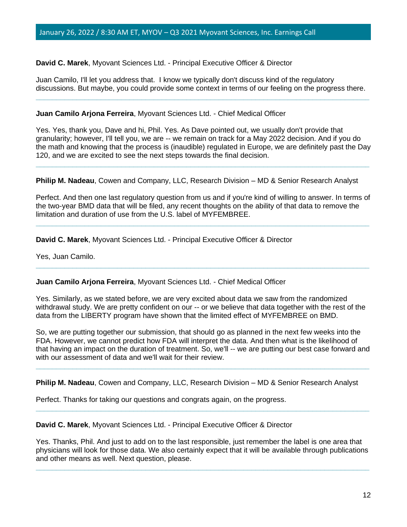**David C. Marek**, Myovant Sciences Ltd. - Principal Executive Officer & Director

Juan Camilo, I'll let you address that. I know we typically don't discuss kind of the regulatory discussions. But maybe, you could provide some context in terms of our feeling on the progress there. **\_\_\_\_\_\_\_\_\_\_\_\_\_\_\_\_\_\_\_\_\_\_\_\_\_\_\_\_\_\_\_\_\_\_\_\_\_\_\_\_\_\_\_\_\_\_\_\_\_\_\_\_\_\_\_\_\_\_\_\_\_\_\_\_\_\_\_\_\_\_\_\_\_\_\_\_\_\_\_\_\_\_**

#### **Juan Camilo Arjona Ferreira**, Myovant Sciences Ltd. - Chief Medical Officer

Yes. Yes, thank you, Dave and hi, Phil. Yes. As Dave pointed out, we usually don't provide that granularity; however, I'll tell you, we are -- we remain on track for a May 2022 decision. And if you do the math and knowing that the process is (inaudible) regulated in Europe, we are definitely past the Day 120, and we are excited to see the next steps towards the final decision.

**\_\_\_\_\_\_\_\_\_\_\_\_\_\_\_\_\_\_\_\_\_\_\_\_\_\_\_\_\_\_\_\_\_\_\_\_\_\_\_\_\_\_\_\_\_\_\_\_\_\_\_\_\_\_\_\_\_\_\_\_\_\_\_\_\_\_\_\_\_\_\_\_\_\_\_\_\_\_\_\_\_\_**

**Philip M. Nadeau**, Cowen and Company, LLC, Research Division – MD & Senior Research Analyst

Perfect. And then one last regulatory question from us and if you're kind of willing to answer. In terms of the two-year BMD data that will be filed, any recent thoughts on the ability of that data to remove the limitation and duration of use from the U.S. label of MYFEMBREE.

**\_\_\_\_\_\_\_\_\_\_\_\_\_\_\_\_\_\_\_\_\_\_\_\_\_\_\_\_\_\_\_\_\_\_\_\_\_\_\_\_\_\_\_\_\_\_\_\_\_\_\_\_\_\_\_\_\_\_\_\_\_\_\_\_\_\_\_\_\_\_\_\_\_\_\_\_\_\_\_\_\_\_**

**\_\_\_\_\_\_\_\_\_\_\_\_\_\_\_\_\_\_\_\_\_\_\_\_\_\_\_\_\_\_\_\_\_\_\_\_\_\_\_\_\_\_\_\_\_\_\_\_\_\_\_\_\_\_\_\_\_\_\_\_\_\_\_\_\_\_\_\_\_\_\_\_\_\_\_\_\_\_\_\_\_\_**

**David C. Marek**, Myovant Sciences Ltd. - Principal Executive Officer & Director

Yes, Juan Camilo.

# **Juan Camilo Arjona Ferreira**, Myovant Sciences Ltd. - Chief Medical Officer

Yes. Similarly, as we stated before, we are very excited about data we saw from the randomized withdrawal study. We are pretty confident on our -- or we believe that data together with the rest of the data from the LIBERTY program have shown that the limited effect of MYFEMBREE on BMD.

So, we are putting together our submission, that should go as planned in the next few weeks into the FDA. However, we cannot predict how FDA will interpret the data. And then what is the likelihood of that having an impact on the duration of treatment. So, we'll -- we are putting our best case forward and with our assessment of data and we'll wait for their review.

**\_\_\_\_\_\_\_\_\_\_\_\_\_\_\_\_\_\_\_\_\_\_\_\_\_\_\_\_\_\_\_\_\_\_\_\_\_\_\_\_\_\_\_\_\_\_\_\_\_\_\_\_\_\_\_\_\_\_\_\_\_\_\_\_\_\_\_\_\_\_\_\_\_\_\_\_\_\_\_\_\_\_**

**Philip M. Nadeau**, Cowen and Company, LLC, Research Division – MD & Senior Research Analyst

Perfect. Thanks for taking our questions and congrats again, on the progress.

**David C. Marek**, Myovant Sciences Ltd. - Principal Executive Officer & Director

Yes. Thanks, Phil. And just to add on to the last responsible, just remember the label is one area that physicians will look for those data. We also certainly expect that it will be available through publications and other means as well. Next question, please.

**\_\_\_\_\_\_\_\_\_\_\_\_\_\_\_\_\_\_\_\_\_\_\_\_\_\_\_\_\_\_\_\_\_\_\_\_\_\_\_\_\_\_\_\_\_\_\_\_\_\_\_\_\_\_\_\_\_\_\_\_\_\_\_\_\_\_\_\_\_\_\_\_\_\_\_\_\_\_\_\_\_\_**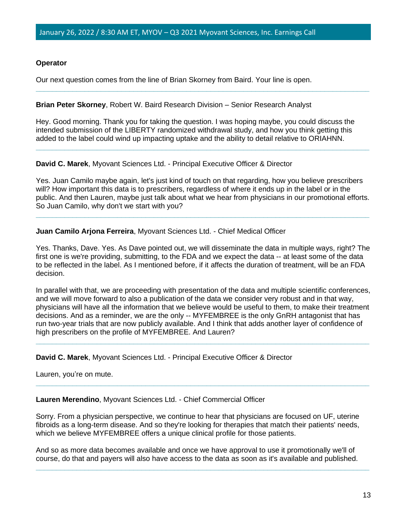# **Operator**

Our next question comes from the line of Brian Skorney from Baird. Your line is open.

## **Brian Peter Skorney**, Robert W. Baird Research Division – Senior Research Analyst

Hey. Good morning. Thank you for taking the question. I was hoping maybe, you could discuss the intended submission of the LIBERTY randomized withdrawal study, and how you think getting this added to the label could wind up impacting uptake and the ability to detail relative to ORIAHNN.

**\_\_\_\_\_\_\_\_\_\_\_\_\_\_\_\_\_\_\_\_\_\_\_\_\_\_\_\_\_\_\_\_\_\_\_\_\_\_\_\_\_\_\_\_\_\_\_\_\_\_\_\_\_\_\_\_\_\_\_\_\_\_\_\_\_\_\_\_\_\_\_\_\_\_\_\_\_\_\_\_\_\_**

#### **David C. Marek**, Myovant Sciences Ltd. - Principal Executive Officer & Director

Yes. Juan Camilo maybe again, let's just kind of touch on that regarding, how you believe prescribers will? How important this data is to prescribers, regardless of where it ends up in the label or in the public. And then Lauren, maybe just talk about what we hear from physicians in our promotional efforts. So Juan Camilo, why don't we start with you?

**\_\_\_\_\_\_\_\_\_\_\_\_\_\_\_\_\_\_\_\_\_\_\_\_\_\_\_\_\_\_\_\_\_\_\_\_\_\_\_\_\_\_\_\_\_\_\_\_\_\_\_\_\_\_\_\_\_\_\_\_\_\_\_\_\_\_\_\_\_\_\_\_\_\_\_\_\_\_\_\_\_\_**

**\_\_\_\_\_\_\_\_\_\_\_\_\_\_\_\_\_\_\_\_\_\_\_\_\_\_\_\_\_\_\_\_\_\_\_\_\_\_\_\_\_\_\_\_\_\_\_\_\_\_\_\_\_\_\_\_\_\_\_\_\_\_\_\_\_\_\_\_\_\_\_\_\_\_\_\_\_\_\_\_\_\_**

# **Juan Camilo Arjona Ferreira**, Myovant Sciences Ltd. - Chief Medical Officer

Yes. Thanks, Dave. Yes. As Dave pointed out, we will disseminate the data in multiple ways, right? The first one is we're providing, submitting, to the FDA and we expect the data -- at least some of the data to be reflected in the label. As I mentioned before, if it affects the duration of treatment, will be an FDA decision.

In parallel with that, we are proceeding with presentation of the data and multiple scientific conferences, and we will move forward to also a publication of the data we consider very robust and in that way, physicians will have all the information that we believe would be useful to them, to make their treatment decisions. And as a reminder, we are the only -- MYFEMBREE is the only GnRH antagonist that has run two-year trials that are now publicly available. And I think that adds another layer of confidence of high prescribers on the profile of MYFEMBREE. And Lauren?

**\_\_\_\_\_\_\_\_\_\_\_\_\_\_\_\_\_\_\_\_\_\_\_\_\_\_\_\_\_\_\_\_\_\_\_\_\_\_\_\_\_\_\_\_\_\_\_\_\_\_\_\_\_\_\_\_\_\_\_\_\_\_\_\_\_\_\_\_\_\_\_\_\_\_\_\_\_\_\_\_\_\_**

**\_\_\_\_\_\_\_\_\_\_\_\_\_\_\_\_\_\_\_\_\_\_\_\_\_\_\_\_\_\_\_\_\_\_\_\_\_\_\_\_\_\_\_\_\_\_\_\_\_\_\_\_\_\_\_\_\_\_\_\_\_\_\_\_\_\_\_\_\_\_\_\_\_\_\_\_\_\_\_\_\_\_**

**David C. Marek**, Myovant Sciences Ltd. - Principal Executive Officer & Director

Lauren, you're on mute.

**Lauren Merendino**, Myovant Sciences Ltd. - Chief Commercial Officer

Sorry. From a physician perspective, we continue to hear that physicians are focused on UF, uterine fibroids as a long-term disease. And so they're looking for therapies that match their patients' needs, which we believe MYFEMBREE offers a unique clinical profile for those patients.

And so as more data becomes available and once we have approval to use it promotionally we'll of course, do that and payers will also have access to the data as soon as it's available and published.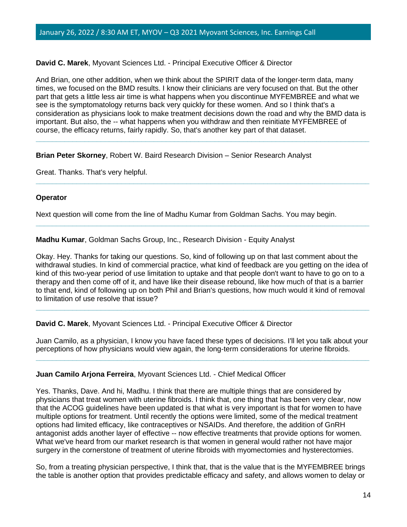# **David C. Marek**, Myovant Sciences Ltd. - Principal Executive Officer & Director

And Brian, one other addition, when we think about the SPIRIT data of the longer-term data, many times, we focused on the BMD results. I know their clinicians are very focused on that. But the other part that gets a little less air time is what happens when you discontinue MYFEMBREE and what we see is the symptomatology returns back very quickly for these women. And so I think that's a consideration as physicians look to make treatment decisions down the road and why the BMD data is important. But also, the -- what happens when you withdraw and then reinitiate MYFEMBREE of course, the efficacy returns, fairly rapidly. So, that's another key part of that dataset.

**\_\_\_\_\_\_\_\_\_\_\_\_\_\_\_\_\_\_\_\_\_\_\_\_\_\_\_\_\_\_\_\_\_\_\_\_\_\_\_\_\_\_\_\_\_\_\_\_\_\_\_\_\_\_\_\_\_\_\_\_\_\_\_\_\_\_\_\_\_\_\_\_\_\_\_\_\_\_\_\_\_\_**

**\_\_\_\_\_\_\_\_\_\_\_\_\_\_\_\_\_\_\_\_\_\_\_\_\_\_\_\_\_\_\_\_\_\_\_\_\_\_\_\_\_\_\_\_\_\_\_\_\_\_\_\_\_\_\_\_\_\_\_\_\_\_\_\_\_\_\_\_\_\_\_\_\_\_\_\_\_\_\_\_\_\_**

**\_\_\_\_\_\_\_\_\_\_\_\_\_\_\_\_\_\_\_\_\_\_\_\_\_\_\_\_\_\_\_\_\_\_\_\_\_\_\_\_\_\_\_\_\_\_\_\_\_\_\_\_\_\_\_\_\_\_\_\_\_\_\_\_\_\_\_\_\_\_\_\_\_\_\_\_\_\_\_\_\_\_**

#### **Brian Peter Skorney**, Robert W. Baird Research Division – Senior Research Analyst

Great. Thanks. That's very helpful.

#### **Operator**

Next question will come from the line of Madhu Kumar from Goldman Sachs. You may begin.

**Madhu Kumar**, Goldman Sachs Group, Inc., Research Division - Equity Analyst

Okay. Hey. Thanks for taking our questions. So, kind of following up on that last comment about the withdrawal studies. In kind of commercial practice, what kind of feedback are you getting on the idea of kind of this two-year period of use limitation to uptake and that people don't want to have to go on to a therapy and then come off of it, and have like their disease rebound, like how much of that is a barrier to that end, kind of following up on both Phil and Brian's questions, how much would it kind of removal to limitation of use resolve that issue?

**\_\_\_\_\_\_\_\_\_\_\_\_\_\_\_\_\_\_\_\_\_\_\_\_\_\_\_\_\_\_\_\_\_\_\_\_\_\_\_\_\_\_\_\_\_\_\_\_\_\_\_\_\_\_\_\_\_\_\_\_\_\_\_\_\_\_\_\_\_\_\_\_\_\_\_\_\_\_\_\_\_\_**

# **David C. Marek**, Myovant Sciences Ltd. - Principal Executive Officer & Director

Juan Camilo, as a physician, I know you have faced these types of decisions. I'll let you talk about your perceptions of how physicians would view again, the long-term considerations for uterine fibroids. **\_\_\_\_\_\_\_\_\_\_\_\_\_\_\_\_\_\_\_\_\_\_\_\_\_\_\_\_\_\_\_\_\_\_\_\_\_\_\_\_\_\_\_\_\_\_\_\_\_\_\_\_\_\_\_\_\_\_\_\_\_\_\_\_\_\_\_\_\_\_\_\_\_\_\_\_\_\_\_\_\_\_**

#### **Juan Camilo Arjona Ferreira**, Myovant Sciences Ltd. - Chief Medical Officer

Yes. Thanks, Dave. And hi, Madhu. I think that there are multiple things that are considered by physicians that treat women with uterine fibroids. I think that, one thing that has been very clear, now that the ACOG guidelines have been updated is that what is very important is that for women to have multiple options for treatment. Until recently the options were limited, some of the medical treatment options had limited efficacy, like contraceptives or NSAIDs. And therefore, the addition of GnRH antagonist adds another layer of effective -- now effective treatments that provide options for women. What we've heard from our market research is that women in general would rather not have major surgery in the cornerstone of treatment of uterine fibroids with myomectomies and hysterectomies.

So, from a treating physician perspective, I think that, that is the value that is the MYFEMBREE brings the table is another option that provides predictable efficacy and safety, and allows women to delay or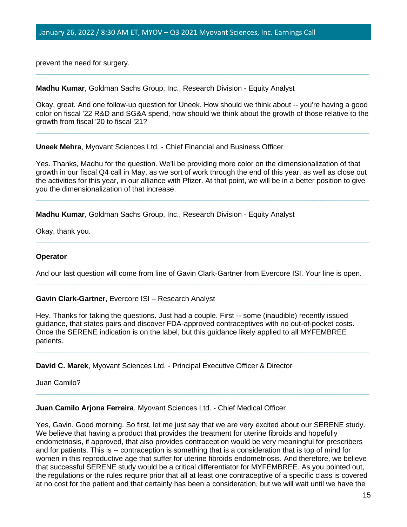prevent the need for surgery.

**Madhu Kumar**, Goldman Sachs Group, Inc., Research Division - Equity Analyst

Okay, great. And one follow-up question for Uneek. How should we think about -- you're having a good color on fiscal '22 R&D and SG&A spend, how should we think about the growth of those relative to the growth from fiscal '20 to fiscal '21?

**\_\_\_\_\_\_\_\_\_\_\_\_\_\_\_\_\_\_\_\_\_\_\_\_\_\_\_\_\_\_\_\_\_\_\_\_\_\_\_\_\_\_\_\_\_\_\_\_\_\_\_\_\_\_\_\_\_\_\_\_\_\_\_\_\_\_\_\_\_\_\_\_\_\_\_\_\_\_\_\_\_\_**

**\_\_\_\_\_\_\_\_\_\_\_\_\_\_\_\_\_\_\_\_\_\_\_\_\_\_\_\_\_\_\_\_\_\_\_\_\_\_\_\_\_\_\_\_\_\_\_\_\_\_\_\_\_\_\_\_\_\_\_\_\_\_\_\_\_\_\_\_\_\_\_\_\_\_\_\_\_\_\_\_\_\_**

**Uneek Mehra**, Myovant Sciences Ltd. - Chief Financial and Business Officer

Yes. Thanks, Madhu for the question. We'll be providing more color on the dimensionalization of that growth in our fiscal Q4 call in May, as we sort of work through the end of this year, as well as close out the activities for this year, in our alliance with Pfizer. At that point, we will be in a better position to give you the dimensionalization of that increase.

**\_\_\_\_\_\_\_\_\_\_\_\_\_\_\_\_\_\_\_\_\_\_\_\_\_\_\_\_\_\_\_\_\_\_\_\_\_\_\_\_\_\_\_\_\_\_\_\_\_\_\_\_\_\_\_\_\_\_\_\_\_\_\_\_\_\_\_\_\_\_\_\_\_\_\_\_\_\_\_\_\_\_**

**\_\_\_\_\_\_\_\_\_\_\_\_\_\_\_\_\_\_\_\_\_\_\_\_\_\_\_\_\_\_\_\_\_\_\_\_\_\_\_\_\_\_\_\_\_\_\_\_\_\_\_\_\_\_\_\_\_\_\_\_\_\_\_\_\_\_\_\_\_\_\_\_\_\_\_\_\_\_\_\_\_\_**

**Madhu Kumar**, Goldman Sachs Group, Inc., Research Division - Equity Analyst

Okay, thank you.

#### **Operator**

And our last question will come from line of Gavin Clark-Gartner from Evercore ISI. Your line is open. **\_\_\_\_\_\_\_\_\_\_\_\_\_\_\_\_\_\_\_\_\_\_\_\_\_\_\_\_\_\_\_\_\_\_\_\_\_\_\_\_\_\_\_\_\_\_\_\_\_\_\_\_\_\_\_\_\_\_\_\_\_\_\_\_\_\_\_\_\_\_\_\_\_\_\_\_\_\_\_\_\_\_**

**Gavin Clark-Gartner**, Evercore ISI – Research Analyst

Hey. Thanks for taking the questions. Just had a couple. First -- some (inaudible) recently issued guidance, that states pairs and discover FDA-approved contraceptives with no out-of-pocket costs. Once the SERENE indication is on the label, but this guidance likely applied to all MYFEMBREE patients.

**\_\_\_\_\_\_\_\_\_\_\_\_\_\_\_\_\_\_\_\_\_\_\_\_\_\_\_\_\_\_\_\_\_\_\_\_\_\_\_\_\_\_\_\_\_\_\_\_\_\_\_\_\_\_\_\_\_\_\_\_\_\_\_\_\_\_\_\_\_\_\_\_\_\_\_\_\_\_\_\_\_\_**

**\_\_\_\_\_\_\_\_\_\_\_\_\_\_\_\_\_\_\_\_\_\_\_\_\_\_\_\_\_\_\_\_\_\_\_\_\_\_\_\_\_\_\_\_\_\_\_\_\_\_\_\_\_\_\_\_\_\_\_\_\_\_\_\_\_\_\_\_\_\_\_\_\_\_\_\_\_\_\_\_\_\_**

**David C. Marek**, Myovant Sciences Ltd. - Principal Executive Officer & Director

Juan Camilo?

#### **Juan Camilo Arjona Ferreira**, Myovant Sciences Ltd. - Chief Medical Officer

Yes, Gavin. Good morning. So first, let me just say that we are very excited about our SERENE study. We believe that having a product that provides the treatment for uterine fibroids and hopefully endometriosis, if approved, that also provides contraception would be very meaningful for prescribers and for patients. This is -- contraception is something that is a consideration that is top of mind for women in this reproductive age that suffer for uterine fibroids endometriosis. And therefore, we believe that successful SERENE study would be a critical differentiator for MYFEMBREE. As you pointed out, the regulations or the rules require prior that all at least one contraceptive of a specific class is covered at no cost for the patient and that certainly has been a consideration, but we will wait until we have the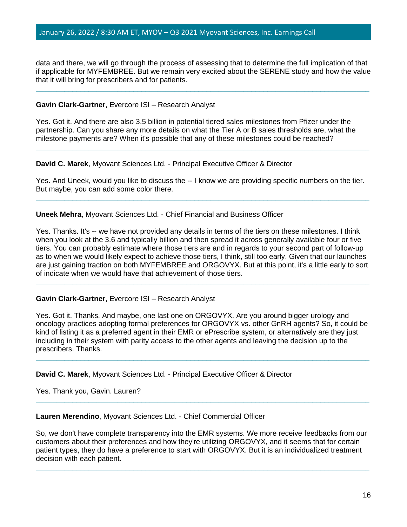data and there, we will go through the process of assessing that to determine the full implication of that if applicable for MYFEMBREE. But we remain very excited about the SERENE study and how the value that it will bring for prescribers and for patients.

**\_\_\_\_\_\_\_\_\_\_\_\_\_\_\_\_\_\_\_\_\_\_\_\_\_\_\_\_\_\_\_\_\_\_\_\_\_\_\_\_\_\_\_\_\_\_\_\_\_\_\_\_\_\_\_\_\_\_\_\_\_\_\_\_\_\_\_\_\_\_\_\_\_\_\_\_\_\_\_\_\_\_**

#### **Gavin Clark-Gartner**, Evercore ISI – Research Analyst

Yes. Got it. And there are also 3.5 billion in potential tiered sales milestones from Pfizer under the partnership. Can you share any more details on what the Tier A or B sales thresholds are, what the milestone payments are? When it's possible that any of these milestones could be reached?

**David C. Marek**, Myovant Sciences Ltd. - Principal Executive Officer & Director

Yes. And Uneek, would you like to discuss the -- I know we are providing specific numbers on the tier. But maybe, you can add some color there.

**\_\_\_\_\_\_\_\_\_\_\_\_\_\_\_\_\_\_\_\_\_\_\_\_\_\_\_\_\_\_\_\_\_\_\_\_\_\_\_\_\_\_\_\_\_\_\_\_\_\_\_\_\_\_\_\_\_\_\_\_\_\_\_\_\_\_\_\_\_\_\_\_\_\_\_\_\_\_\_\_\_\_**

**\_\_\_\_\_\_\_\_\_\_\_\_\_\_\_\_\_\_\_\_\_\_\_\_\_\_\_\_\_\_\_\_\_\_\_\_\_\_\_\_\_\_\_\_\_\_\_\_\_\_\_\_\_\_\_\_\_\_\_\_\_\_\_\_\_\_\_\_\_\_\_\_\_\_\_\_\_\_\_\_\_\_**

**Uneek Mehra**, Myovant Sciences Ltd. - Chief Financial and Business Officer

Yes. Thanks. It's -- we have not provided any details in terms of the tiers on these milestones. I think when you look at the 3.6 and typically billion and then spread it across generally available four or five tiers. You can probably estimate where those tiers are and in regards to your second part of follow-up as to when we would likely expect to achieve those tiers, I think, still too early. Given that our launches are just gaining traction on both MYFEMBREE and ORGOVYX. But at this point, it's a little early to sort of indicate when we would have that achievement of those tiers.

**\_\_\_\_\_\_\_\_\_\_\_\_\_\_\_\_\_\_\_\_\_\_\_\_\_\_\_\_\_\_\_\_\_\_\_\_\_\_\_\_\_\_\_\_\_\_\_\_\_\_\_\_\_\_\_\_\_\_\_\_\_\_\_\_\_\_\_\_\_\_\_\_\_\_\_\_\_\_\_\_\_\_**

# **Gavin Clark-Gartner**, Evercore ISI – Research Analyst

Yes. Got it. Thanks. And maybe, one last one on ORGOVYX. Are you around bigger urology and oncology practices adopting formal preferences for ORGOVYX vs. other GnRH agents? So, it could be kind of listing it as a preferred agent in their EMR or ePrescribe system, or alternatively are they just including in their system with parity access to the other agents and leaving the decision up to the prescribers. Thanks. **\_\_\_\_\_\_\_\_\_\_\_\_\_\_\_\_\_\_\_\_\_\_\_\_\_\_\_\_\_\_\_\_\_\_\_\_\_\_\_\_\_\_\_\_\_\_\_\_\_\_\_\_\_\_\_\_\_\_\_\_\_\_\_\_\_\_\_\_\_\_\_\_\_\_\_\_\_\_\_\_\_\_**

**David C. Marek**, Myovant Sciences Ltd. - Principal Executive Officer & Director

Yes. Thank you, Gavin. Lauren?

**Lauren Merendino**, Myovant Sciences Ltd. - Chief Commercial Officer

So, we don't have complete transparency into the EMR systems. We more receive feedbacks from our customers about their preferences and how they're utilizing ORGOVYX, and it seems that for certain patient types, they do have a preference to start with ORGOVYX. But it is an individualized treatment decision with each patient.

**\_\_\_\_\_\_\_\_\_\_\_\_\_\_\_\_\_\_\_\_\_\_\_\_\_\_\_\_\_\_\_\_\_\_\_\_\_\_\_\_\_\_\_\_\_\_\_\_\_\_\_\_\_\_\_\_\_\_\_\_\_\_\_\_\_\_\_\_\_\_\_\_\_\_\_\_\_\_\_\_\_\_**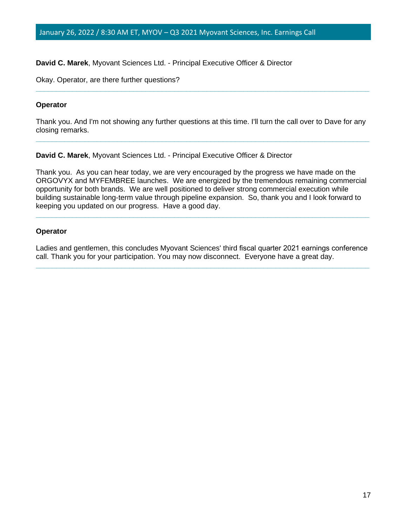### **David C. Marek**, Myovant Sciences Ltd. - Principal Executive Officer & Director

Okay. Operator, are there further questions?

#### **Operator**

Thank you. And I'm not showing any further questions at this time. I'll turn the call over to Dave for any closing remarks. **\_\_\_\_\_\_\_\_\_\_\_\_\_\_\_\_\_\_\_\_\_\_\_\_\_\_\_\_\_\_\_\_\_\_\_\_\_\_\_\_\_\_\_\_\_\_\_\_\_\_\_\_\_\_\_\_\_\_\_\_\_\_\_\_\_\_\_\_\_\_\_\_\_\_\_\_\_\_\_\_\_\_**

**\_\_\_\_\_\_\_\_\_\_\_\_\_\_\_\_\_\_\_\_\_\_\_\_\_\_\_\_\_\_\_\_\_\_\_\_\_\_\_\_\_\_\_\_\_\_\_\_\_\_\_\_\_\_\_\_\_\_\_\_\_\_\_\_\_\_\_\_\_\_\_\_\_\_\_\_\_\_\_\_\_\_**

**David C. Marek**, Myovant Sciences Ltd. - Principal Executive Officer & Director

Thank you. As you can hear today, we are very encouraged by the progress we have made on the ORGOVYX and MYFEMBREE launches. We are energized by the tremendous remaining commercial opportunity for both brands. We are well positioned to deliver strong commercial execution while building sustainable long-term value through pipeline expansion. So, thank you and I look forward to keeping you updated on our progress. Have a good day.

**\_\_\_\_\_\_\_\_\_\_\_\_\_\_\_\_\_\_\_\_\_\_\_\_\_\_\_\_\_\_\_\_\_\_\_\_\_\_\_\_\_\_\_\_\_\_\_\_\_\_\_\_\_\_\_\_\_\_\_\_\_\_\_\_\_\_\_\_\_\_\_\_\_\_\_\_\_\_\_\_\_\_**

#### **Operator**

Ladies and gentlemen, this concludes Myovant Sciences' third fiscal quarter 2021 earnings conference call. Thank you for your participation. You may now disconnect. Everyone have a great day. **\_\_\_\_\_\_\_\_\_\_\_\_\_\_\_\_\_\_\_\_\_\_\_\_\_\_\_\_\_\_\_\_\_\_\_\_\_\_\_\_\_\_\_\_\_\_\_\_\_\_\_\_\_\_\_\_\_\_\_\_\_\_\_\_\_\_\_\_\_\_\_\_\_\_\_\_\_\_\_\_\_\_**